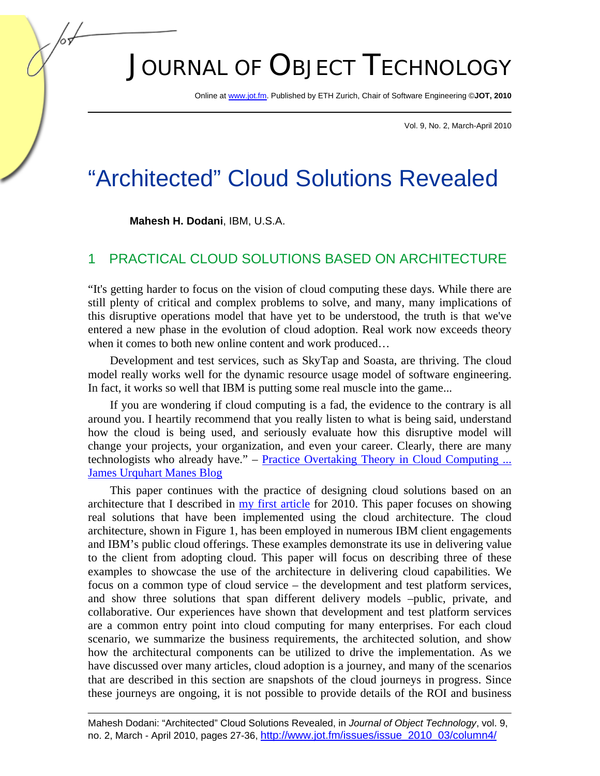# JOURNAL OF OBJECT TECHNOLOGY

Online at www.jot.fm. Published by ETH Zurich, Chair of Software Engineering ©**JOT, 2010** 

Vol. 9, No. 2, March-April 2010

## "Architected" Cloud Solutions Revealed

**Mahesh H. Dodani**, IBM, U.S.A.

#### 1 PRACTICAL CLOUD SOLUTIONS BASED ON ARCHITECTURE

"It's getting harder to focus on the vision of cloud computing these days. While there are still plenty of critical and complex problems to solve, and many, many implications of this disruptive operations model that have yet to be understood, the truth is that we've entered a new phase in the evolution of cloud adoption. Real work now exceeds theory when it comes to both new online content and work produced…

Development and test services, such as SkyTap and Soasta, are thriving. The cloud model really works well for the dynamic resource usage model of software engineering. In fact, it works so well that IBM is putting some real muscle into the game...

If you are wondering if cloud computing is a fad, the evidence to the contrary is all around you. I heartily recommend that you really listen to what is being said, understand how the cloud is being used, and seriously evaluate how this disruptive model will change your projects, your organization, and even your career. Clearly, there are many technologists who already have." – Practice Overtaking Theory in Cloud Computing ... James Urquhart Manes Blog

This paper continues with the practice of designing cloud solutions based on an architecture that I described in my first article for 2010. This paper focuses on showing real solutions that have been implemented using the cloud architecture. The cloud architecture, shown in Figure 1, has been employed in numerous IBM client engagements and IBM's public cloud offerings. These examples demonstrate its use in delivering value to the client from adopting cloud. This paper will focus on describing three of these examples to showcase the use of the architecture in delivering cloud capabilities. We focus on a common type of cloud service – the development and test platform services, and show three solutions that span different delivery models –public, private, and collaborative. Our experiences have shown that development and test platform services are a common entry point into cloud computing for many enterprises. For each cloud scenario, we summarize the business requirements, the architected solution, and show how the architectural components can be utilized to drive the implementation. As we have discussed over many articles, cloud adoption is a journey, and many of the scenarios that are described in this section are snapshots of the cloud journeys in progress. Since these journeys are ongoing, it is not possible to provide details of the ROI and business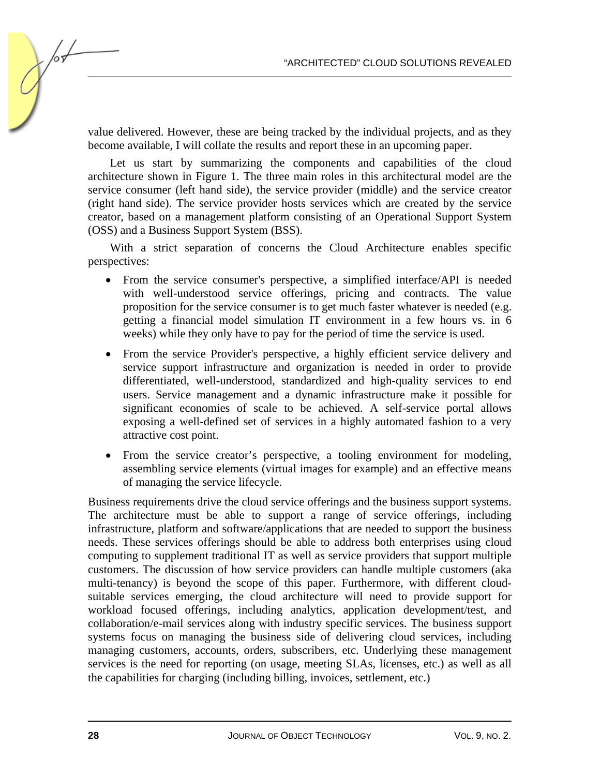value delivered. However, these are being tracked by the individual projects, and as they become available, I will collate the results and report these in an upcoming paper.

Let us start by summarizing the components and capabilities of the cloud architecture shown in Figure 1. The three main roles in this architectural model are the service consumer (left hand side), the service provider (middle) and the service creator (right hand side). The service provider hosts services which are created by the service creator, based on a management platform consisting of an Operational Support System (OSS) and a Business Support System (BSS).

With a strict separation of concerns the Cloud Architecture enables specific perspectives:

- From the service consumer's perspective, a simplified interface/API is needed with well-understood service offerings, pricing and contracts. The value proposition for the service consumer is to get much faster whatever is needed (e.g. getting a financial model simulation IT environment in a few hours vs. in 6 weeks) while they only have to pay for the period of time the service is used.
- From the service Provider's perspective, a highly efficient service delivery and service support infrastructure and organization is needed in order to provide differentiated, well-understood, standardized and high-quality services to end users. Service management and a dynamic infrastructure make it possible for significant economies of scale to be achieved. A self-service portal allows exposing a well-defined set of services in a highly automated fashion to a very attractive cost point.
- From the service creator's perspective, a tooling environment for modeling, assembling service elements (virtual images for example) and an effective means of managing the service lifecycle.

Business requirements drive the cloud service offerings and the business support systems. The architecture must be able to support a range of service offerings, including infrastructure, platform and software/applications that are needed to support the business needs. These services offerings should be able to address both enterprises using cloud computing to supplement traditional IT as well as service providers that support multiple customers. The discussion of how service providers can handle multiple customers (aka multi-tenancy) is beyond the scope of this paper. Furthermore, with different cloudsuitable services emerging, the cloud architecture will need to provide support for workload focused offerings, including analytics, application development/test, and collaboration/e-mail services along with industry specific services. The business support systems focus on managing the business side of delivering cloud services, including managing customers, accounts, orders, subscribers, etc. Underlying these management services is the need for reporting (on usage, meeting SLAs, licenses, etc.) as well as all the capabilities for charging (including billing, invoices, settlement, etc.)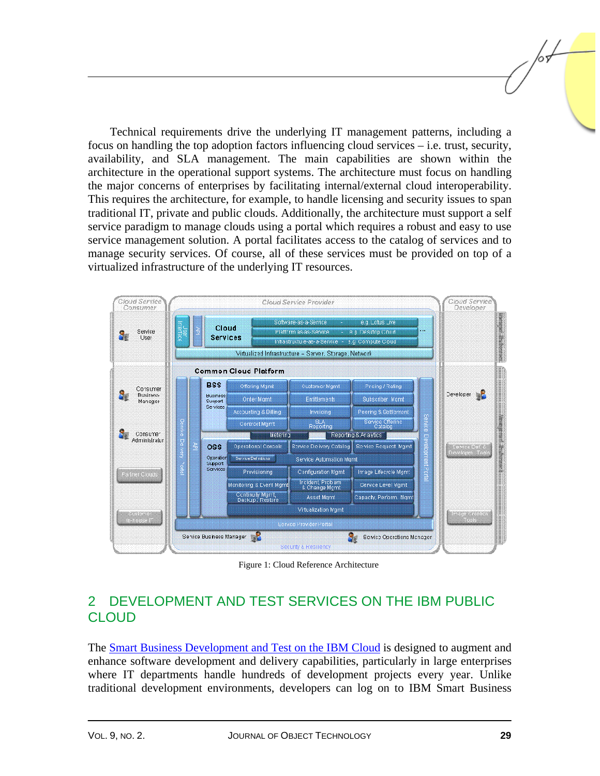Technical requirements drive the underlying IT management patterns, including a focus on handling the top adoption factors influencing cloud services – i.e. trust, security, availability, and SLA management. The main capabilities are shown within the architecture in the operational support systems. The architecture must focus on handling the major concerns of enterprises by facilitating internal/external cloud interoperability. This requires the architecture, for example, to handle licensing and security issues to span traditional IT, private and public clouds. Additionally, the architecture must support a self service paradigm to manage clouds using a portal which requires a robust and easy to use service management solution. A portal facilitates access to the catalog of services and to manage security services. Of course, all of these services must be provided on top of a virtualized infrastructure of the underlying IT resources.



Figure 1: Cloud Reference Architecture

#### 2 DEVELOPMENT AND TEST SERVICES ON THE IBM PUBLIC **CLOUD**

The Smart Business Development and Test on the IBM Cloud is designed to augment and enhance software development and delivery capabilities, particularly in large enterprises where IT departments handle hundreds of development projects every year. Unlike traditional development environments, developers can log on to IBM Smart Business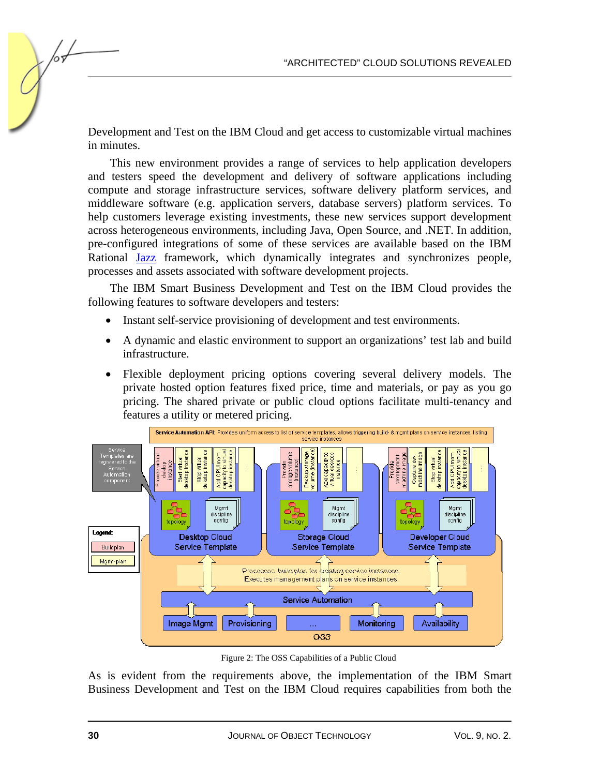Development and Test on the IBM Cloud and get access to customizable virtual machines in minutes.

This new environment provides a range of services to help application developers and testers speed the development and delivery of software applications including compute and storage infrastructure services, software delivery platform services, and middleware software (e.g. application servers, database servers) platform services. To help customers leverage existing investments, these new services support development across heterogeneous environments, including Java, Open Source, and .NET. In addition, pre-configured integrations of some of these services are available based on the IBM Rational Jazz framework, which dynamically integrates and synchronizes people, processes and assets associated with software development projects.

The IBM Smart Business Development and Test on the IBM Cloud provides the following features to software developers and testers:

- Instant self-service provisioning of development and test environments.
- A dynamic and elastic environment to support an organizations' test lab and build infrastructure.
- Flexible deployment pricing options covering several delivery models. The private hosted option features fixed price, time and materials, or pay as you go pricing. The shared private or public cloud options facilitate multi-tenancy and features a utility or metered pricing.



Figure 2: The OSS Capabilities of a Public Cloud

As is evident from the requirements above, the implementation of the IBM Smart Business Development and Test on the IBM Cloud requires capabilities from both the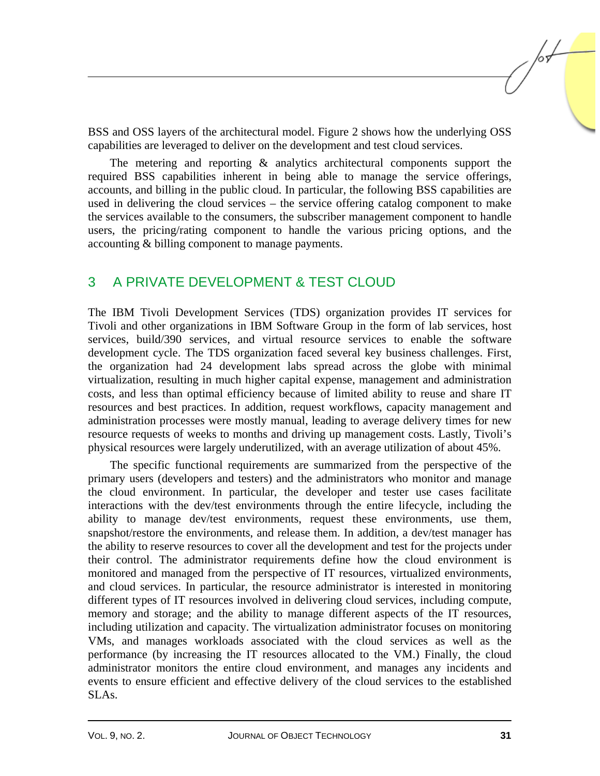BSS and OSS layers of the architectural model. Figure 2 shows how the underlying OSS capabilities are leveraged to deliver on the development and test cloud services.

The metering and reporting  $\&$  analytics architectural components support the required BSS capabilities inherent in being able to manage the service offerings, accounts, and billing in the public cloud. In particular, the following BSS capabilities are used in delivering the cloud services – the service offering catalog component to make the services available to the consumers, the subscriber management component to handle users, the pricing/rating component to handle the various pricing options, and the accounting & billing component to manage payments.

#### 3 A PRIVATE DEVELOPMENT & TEST CLOUD

The IBM Tivoli Development Services (TDS) organization provides IT services for Tivoli and other organizations in IBM Software Group in the form of lab services, host services, build/390 services, and virtual resource services to enable the software development cycle. The TDS organization faced several key business challenges. First, the organization had 24 development labs spread across the globe with minimal virtualization, resulting in much higher capital expense, management and administration costs, and less than optimal efficiency because of limited ability to reuse and share IT resources and best practices. In addition, request workflows, capacity management and administration processes were mostly manual, leading to average delivery times for new resource requests of weeks to months and driving up management costs. Lastly, Tivoli's physical resources were largely underutilized, with an average utilization of about 45%.

The specific functional requirements are summarized from the perspective of the primary users (developers and testers) and the administrators who monitor and manage the cloud environment. In particular, the developer and tester use cases facilitate interactions with the dev/test environments through the entire lifecycle, including the ability to manage dev/test environments, request these environments, use them, snapshot/restore the environments, and release them. In addition, a dev/test manager has the ability to reserve resources to cover all the development and test for the projects under their control. The administrator requirements define how the cloud environment is monitored and managed from the perspective of IT resources, virtualized environments, and cloud services. In particular, the resource administrator is interested in monitoring different types of IT resources involved in delivering cloud services, including compute, memory and storage; and the ability to manage different aspects of the IT resources, including utilization and capacity. The virtualization administrator focuses on monitoring VMs, and manages workloads associated with the cloud services as well as the performance (by increasing the IT resources allocated to the VM.) Finally, the cloud administrator monitors the entire cloud environment, and manages any incidents and events to ensure efficient and effective delivery of the cloud services to the established SLAs.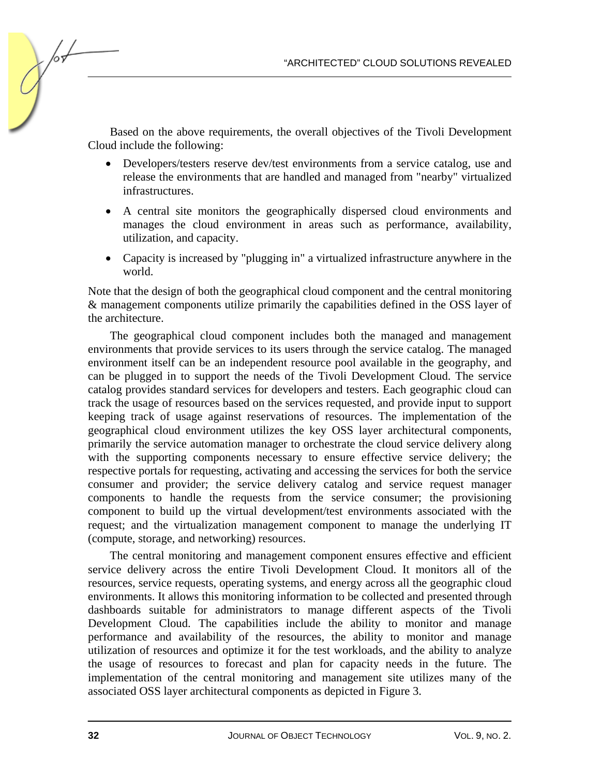Based on the above requirements, the overall objectives of the Tivoli Development Cloud include the following:

- Developers/testers reserve dev/test environments from a service catalog, use and release the environments that are handled and managed from "nearby" virtualized infrastructures.
- A central site monitors the geographically dispersed cloud environments and manages the cloud environment in areas such as performance, availability, utilization, and capacity.
- Capacity is increased by "plugging in" a virtualized infrastructure anywhere in the world.

Note that the design of both the geographical cloud component and the central monitoring & management components utilize primarily the capabilities defined in the OSS layer of the architecture.

The geographical cloud component includes both the managed and management environments that provide services to its users through the service catalog. The managed environment itself can be an independent resource pool available in the geography, and can be plugged in to support the needs of the Tivoli Development Cloud. The service catalog provides standard services for developers and testers. Each geographic cloud can track the usage of resources based on the services requested, and provide input to support keeping track of usage against reservations of resources. The implementation of the geographical cloud environment utilizes the key OSS layer architectural components, primarily the service automation manager to orchestrate the cloud service delivery along with the supporting components necessary to ensure effective service delivery; the respective portals for requesting, activating and accessing the services for both the service consumer and provider; the service delivery catalog and service request manager components to handle the requests from the service consumer; the provisioning component to build up the virtual development/test environments associated with the request; and the virtualization management component to manage the underlying IT (compute, storage, and networking) resources.

The central monitoring and management component ensures effective and efficient service delivery across the entire Tivoli Development Cloud. It monitors all of the resources, service requests, operating systems, and energy across all the geographic cloud environments. It allows this monitoring information to be collected and presented through dashboards suitable for administrators to manage different aspects of the Tivoli Development Cloud. The capabilities include the ability to monitor and manage performance and availability of the resources, the ability to monitor and manage utilization of resources and optimize it for the test workloads, and the ability to analyze the usage of resources to forecast and plan for capacity needs in the future. The implementation of the central monitoring and management site utilizes many of the associated OSS layer architectural components as depicted in Figure 3.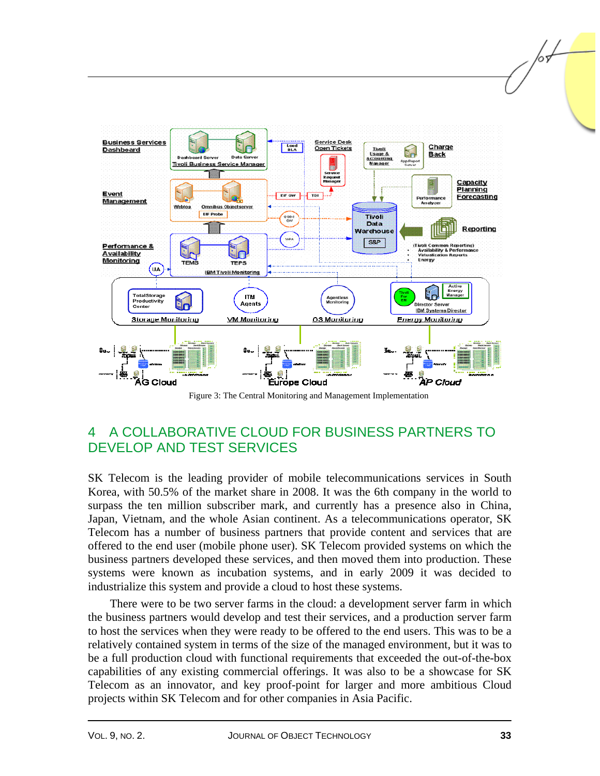

Figure 3: The Central Monitoring and Management Implementation

### 4 A COLLABORATIVE CLOUD FOR BUSINESS PARTNERS TO DEVELOP AND TEST SERVICES

SK Telecom is the leading provider of mobile telecommunications services in South Korea, with 50.5% of the market share in 2008. It was the 6th company in the world to surpass the ten million subscriber mark, and currently has a presence also in China, Japan, Vietnam, and the whole Asian continent. As a telecommunications operator, SK Telecom has a number of business partners that provide content and services that are offered to the end user (mobile phone user). SK Telecom provided systems on which the business partners developed these services, and then moved them into production. These systems were known as incubation systems, and in early 2009 it was decided to industrialize this system and provide a cloud to host these systems.

There were to be two server farms in the cloud: a development server farm in which the business partners would develop and test their services, and a production server farm to host the services when they were ready to be offered to the end users. This was to be a relatively contained system in terms of the size of the managed environment, but it was to be a full production cloud with functional requirements that exceeded the out-of-the-box capabilities of any existing commercial offerings. It was also to be a showcase for SK Telecom as an innovator, and key proof-point for larger and more ambitious Cloud projects within SK Telecom and for other companies in Asia Pacific.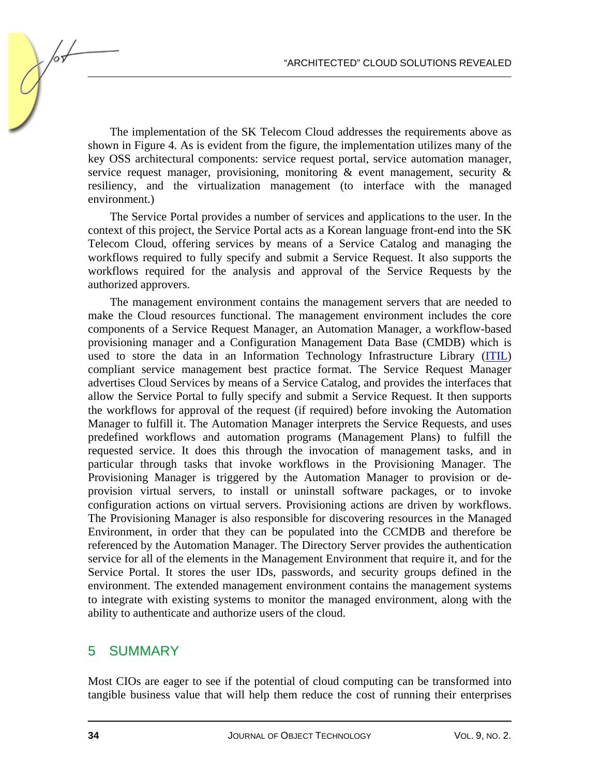The implementation of the SK Telecom Cloud addresses the requirements above as shown in Figure 4. As is evident from the figure, the implementation utilizes many of the key OSS architectural components: service request portal, service automation manager, service request manager, provisioning, monitoring & event management, security & resiliency, and the virtualization management (to interface with the managed environment.)

The Service Portal provides a number of services and applications to the user. In the context of this project, the Service Portal acts as a Korean language front-end into the SK Telecom Cloud, offering services by means of a Service Catalog and managing the workflows required to fully specify and submit a Service Request. It also supports the workflows required for the analysis and approval of the Service Requests by the authorized approvers.

The management environment contains the management servers that are needed to make the Cloud resources functional. The management environment includes the core components of a Service Request Manager, an Automation Manager, a workflow-based provisioning manager and a Configuration Management Data Base (CMDB) which is used to store the data in an Information Technology Infrastructure Library (ITIL) compliant service management best practice format. The Service Request Manager advertises Cloud Services by means of a Service Catalog, and provides the interfaces that allow the Service Portal to fully specify and submit a Service Request. It then supports the workflows for approval of the request (if required) before invoking the Automation Manager to fulfill it. The Automation Manager interprets the Service Requests, and uses predefined workflows and automation programs (Management Plans) to fulfill the requested service. It does this through the invocation of management tasks, and in particular through tasks that invoke workflows in the Provisioning Manager. The Provisioning Manager is triggered by the Automation Manager to provision or deprovision virtual servers, to install or uninstall software packages, or to invoke configuration actions on virtual servers. Provisioning actions are driven by workflows. The Provisioning Manager is also responsible for discovering resources in the Managed Environment, in order that they can be populated into the CCMDB and therefore be referenced by the Automation Manager. The Directory Server provides the authentication service for all of the elements in the Management Environment that require it, and for the Service Portal. It stores the user IDs, passwords, and security groups defined in the environment. The extended management environment contains the management systems to integrate with existing systems to monitor the managed environment, along with the ability to authenticate and authorize users of the cloud.

#### 5 SUMMARY

Most CIOs are eager to see if the potential of cloud computing can be transformed into tangible business value that will help them reduce the cost of running their enterprises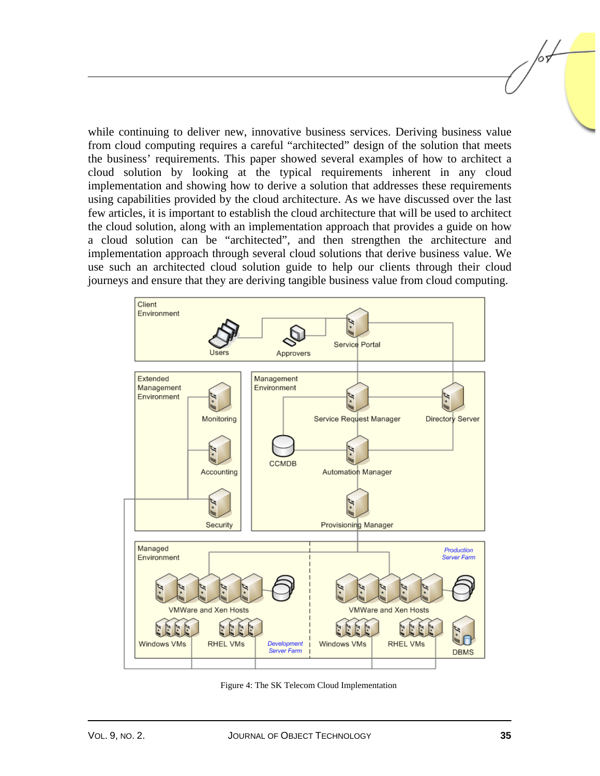while continuing to deliver new, innovative business services. Deriving business value from cloud computing requires a careful "architected" design of the solution that meets the business' requirements. This paper showed several examples of how to architect a cloud solution by looking at the typical requirements inherent in any cloud implementation and showing how to derive a solution that addresses these requirements using capabilities provided by the cloud architecture. As we have discussed over the last few articles, it is important to establish the cloud architecture that will be used to architect the cloud solution, along with an implementation approach that provides a guide on how a cloud solution can be "architected", and then strengthen the architecture and implementation approach through several cloud solutions that derive business value. We use such an architected cloud solution guide to help our clients through their cloud journeys and ensure that they are deriving tangible business value from cloud computing.



Figure 4: The SK Telecom Cloud Implementation